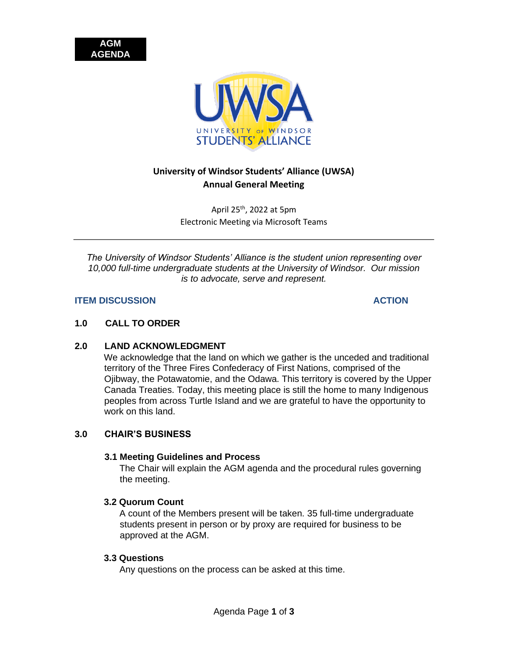



# **University of Windsor Students' Alliance (UWSA) Annual General Meeting**

April 25th, 2022 at 5pm Electronic Meeting via Microsoft Teams

*The University of Windsor Students' Alliance is the student union representing over 10,000 full-time undergraduate students at the University of Windsor. Our mission is to advocate, serve and represent.* 

#### **ITEM DISCUSSION ACTION**

### **1.0 CALL TO ORDER**

## **2.0 LAND ACKNOWLEDGMENT**

We acknowledge that the land on which we gather is the unceded and traditional territory of the Three Fires Confederacy of First Nations, comprised of the Ojibway, the Potawatomie, and the Odawa. This territory is covered by the Upper Canada Treaties. Today, this meeting place is still the home to many Indigenous peoples from across Turtle Island and we are grateful to have the opportunity to work on this land.

## **3.0 CHAIR'S BUSINESS**

#### **3.1 Meeting Guidelines and Process**

The Chair will explain the AGM agenda and the procedural rules governing the meeting.

#### **3.2 Quorum Count**

A count of the Members present will be taken. 35 full-time undergraduate students present in person or by proxy are required for business to be approved at the AGM.

#### **3.3 Questions**

Any questions on the process can be asked at this time.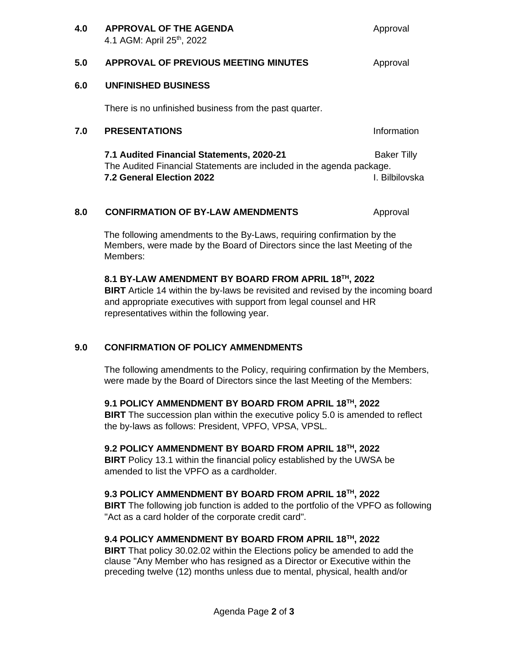| 4.0 | <b>APPROVAL OF THE AGENDA</b><br>4.1 AGM: April 25 <sup>th</sup> , 2022                                                                        | Approval                             |
|-----|------------------------------------------------------------------------------------------------------------------------------------------------|--------------------------------------|
| 5.0 | <b>APPROVAL OF PREVIOUS MEETING MINUTES</b>                                                                                                    | Approval                             |
| 6.0 | <b>UNFINISHED BUSINESS</b>                                                                                                                     |                                      |
|     | There is no unfinished business from the past quarter.                                                                                         |                                      |
| 7.0 | <b>PRESENTATIONS</b>                                                                                                                           | Information                          |
|     | 7.1 Audited Financial Statements, 2020-21<br>The Audited Financial Statements are included in the agenda package.<br>7.2 General Election 2022 | <b>Baker Tilly</b><br>I. Bilbilovska |

## **8.0 CONFIRMATION OF BY-LAW AMENDMENTS** Approval

The following amendments to the By-Laws, requiring confirmation by the Members, were made by the Board of Directors since the last Meeting of the Members:

## **8.1 BY-LAW AMENDMENT BY BOARD FROM APRIL 18TH, 2022**

**BIRT** Article 14 within the by-laws be revisited and revised by the incoming board and appropriate executives with support from legal counsel and HR representatives within the following year.

## **9.0 CONFIRMATION OF POLICY AMMENDMENTS**

The following amendments to the Policy, requiring confirmation by the Members, were made by the Board of Directors since the last Meeting of the Members:

## **9.1 POLICY AMMENDMENT BY BOARD FROM APRIL 18TH, 2022**

**BIRT** The succession plan within the executive policy 5.0 is amended to reflect the by-laws as follows: President, VPFO, VPSA, VPSL.

## **9.2 POLICY AMMENDMENT BY BOARD FROM APRIL 18TH, 2022**

**BIRT** Policy 13.1 within the financial policy established by the UWSA be amended to list the VPFO as a cardholder.

## **9.3 POLICY AMMENDMENT BY BOARD FROM APRIL 18TH, 2022**

**BIRT** The following job function is added to the portfolio of the VPFO as following "Act as a card holder of the corporate credit card".

## **9.4 POLICY AMMENDMENT BY BOARD FROM APRIL 18TH, 2022**

**BIRT** That policy 30.02.02 within the Elections policy be amended to add the clause "Any Member who has resigned as a Director or Executive within the preceding twelve (12) months unless due to mental, physical, health and/or